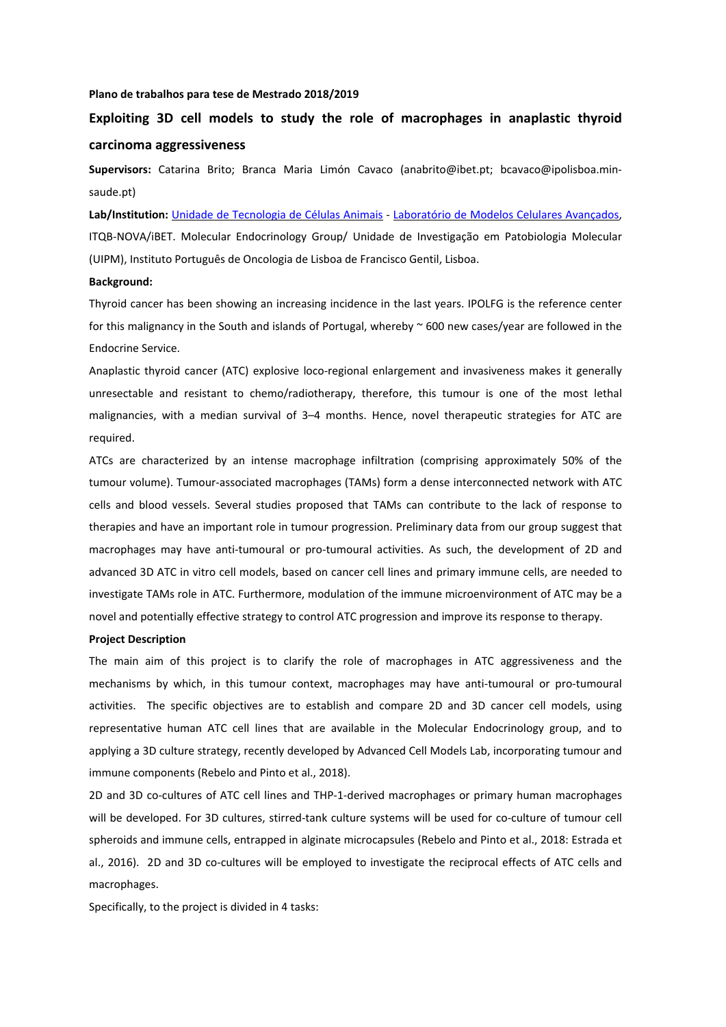#### **Plano de trabalhos para tese de Mestrado 2018/2019**

# **Exploiting 3D cell models to study the role of macrophages in anaplastic thyroid carcinoma aggressiveness**

**Supervisors:**  Catarina Brito; Branca Maria Limón Cavaco (anabrito@ibet.pt; bcavaco@ipolisboa.min‐ saude.pt)

**Lab/Institution:** Unidade de Tecnologia de Células Animais ‐ Laboratório de Modelos Celulares Avançados, ITQB‐NOVA/iBET. Molecular Endocrinology Group/ Unidade de Investigação em Patobiologia Molecular (UIPM), Instituto Português de Oncologia de Lisboa de Francisco Gentil, Lisboa.

### **Background:**

Thyroid cancer has been showing an increasing incidence in the last years. IPOLFG is the reference center for this malignancy in the South and islands of Portugal, whereby ~ 600 new cases/year are followed in the Endocrine Service.

Anaplastic thyroid cancer (ATC) explosive loco‐regional enlargement and invasiveness makes it generally unresectable and resistant to chemo/radiotherapy, therefore, this tumour is one of the most lethal malignancies, with a median survival of 3-4 months. Hence, novel therapeutic strategies for ATC are required.

ATCs are characterized by an intense macrophage infiltration (comprising approximately 50% of the tumour volume). Tumour‐associated macrophages (TAMs) form a dense interconnected network with ATC cells and blood vessels. Several studies proposed that TAMs can contribute to the lack of response to therapies and have an important role in tumour progression. Preliminary data from our group suggest that macrophages may have anti-tumoural or pro-tumoural activities. As such, the development of 2D and advanced 3D ATC in vitro cell models, based on cancer cell lines and primary immune cells, are needed to investigate TAMs role in ATC. Furthermore, modulation of the immune microenvironment of ATC may be a novel and potentially effective strategy to control ATC progression and improve its response to therapy.

#### **Project Description**

The main aim of this project is to clarify the role of macrophages in ATC aggressiveness and the mechanisms by which, in this tumour context, macrophages may have anti-tumoural or pro-tumoural activities. The specific objectives are to establish and compare 2D and 3D cancer cell models, using representative human ATC cell lines that are available in the Molecular Endocrinology group, and to applying a 3D culture strategy, recently developed by Advanced Cell Models Lab, incorporating tumour and immune components (Rebelo and Pinto et al., 2018).

2D and 3D co‐cultures of ATC cell lines and THP‐1‐derived macrophages or primary human macrophages will be developed. For 3D cultures, stirred-tank culture systems will be used for co-culture of tumour cell spheroids and immune cells, entrapped in alginate microcapsules (Rebelo and Pinto et al., 2018: Estrada et al., 2016). 2D and 3D co-cultures will be employed to investigate the reciprocal effects of ATC cells and macrophages.

Specifically, to the project is divided in 4 tasks: